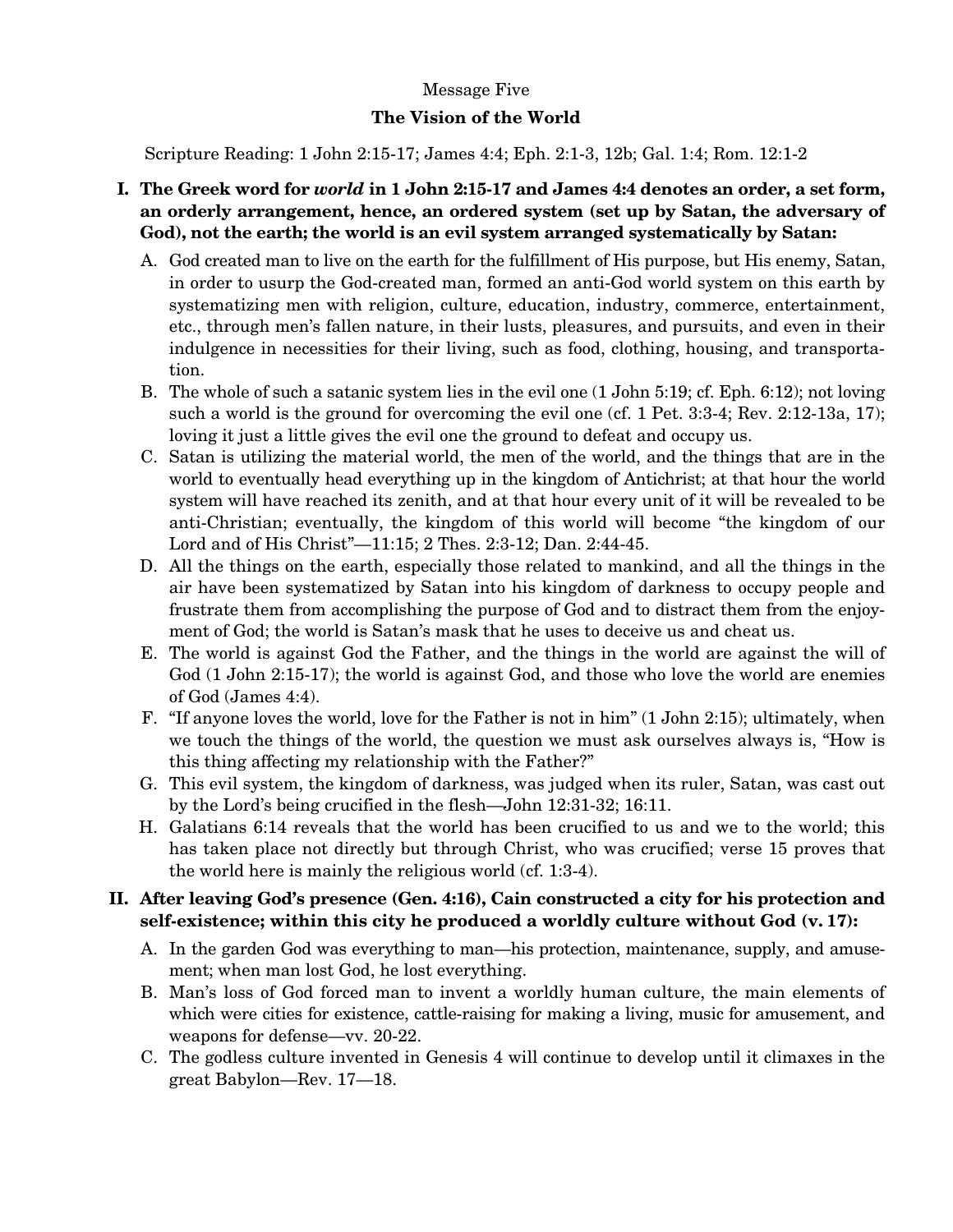### Message Five

### **The Vision of the World**

Scripture Reading: 1 John 2:15-17; James 4:4; Eph. 2:1-3, 12b; Gal. 1:4; Rom. 12:1-2

## **I. The Greek word for** *world* **in 1 John 2:15-17 and James 4:4 denotes an order, a set form, an orderly arrangement, hence, an ordered system (set up by Satan, the adversary of God), not the earth; the world is an evil system arranged systematically by Satan:**

- A. God created man to live on the earth for the fulfillment of His purpose, but His enemy, Satan, in order to usurp the God-created man, formed an anti-God world system on this earth by systematizing men with religion, culture, education, industry, commerce, entertainment, etc., through men's fallen nature, in their lusts, pleasures, and pursuits, and even in their indulgence in necessities for their living, such as food, clothing, housing, and transportation.
- B. The whole of such a satanic system lies in the evil one (1 John 5:19; cf. Eph. 6:12); not loving such a world is the ground for overcoming the evil one (cf. 1 Pet. 3:3-4; Rev. 2:12-13a, 17); loving it just a little gives the evil one the ground to defeat and occupy us.
- C. Satan is utilizing the material world, the men of the world, and the things that are in the world to eventually head everything up in the kingdom of Antichrist; at that hour the world system will have reached its zenith, and at that hour every unit of it will be revealed to be anti-Christian; eventually, the kingdom of this world will become "the kingdom of our Lord and of His Christ"—11:15; 2 Thes. 2:3-12; Dan. 2:44-45.
- D. All the things on the earth, especially those related to mankind, and all the things in the air have been systematized by Satan into his kingdom of darkness to occupy people and frustrate them from accomplishing the purpose of God and to distract them from the enjoyment of God; the world is Satan's mask that he uses to deceive us and cheat us.
- E. The world is against God the Father, and the things in the world are against the will of God (1 John 2:15-17); the world is against God, and those who love the world are enemies of God (James 4:4).
- F. "If anyone loves the world, love for the Father is not in him" (1 John 2:15); ultimately, when we touch the things of the world, the question we must ask ourselves always is, "How is this thing affecting my relationship with the Father?"
- G. This evil system, the kingdom of darkness, was judged when its ruler, Satan, was cast out by the Lord's being crucified in the flesh—John 12:31-32; 16:11.
- H. Galatians 6:14 reveals that the world has been crucified to us and we to the world; this has taken place not directly but through Christ, who was crucified; verse 15 proves that the world here is mainly the religious world (cf. 1:3-4).

## **II. After leaving God's presence (Gen. 4:16), Cain constructed a city for his protection and self-existence; within this city he produced a worldly culture without God (v. 17):**

- A. In the garden God was everything to man—his protection, maintenance, supply, and amusement; when man lost God, he lost everything.
- B. Man's loss of God forced man to invent a worldly human culture, the main elements of which were cities for existence, cattle-raising for making a living, music for amusement, and weapons for defense—vv. 20-22.
- C. The godless culture invented in Genesis 4 will continue to develop until it climaxes in the great Babylon—Rev. 17—18.